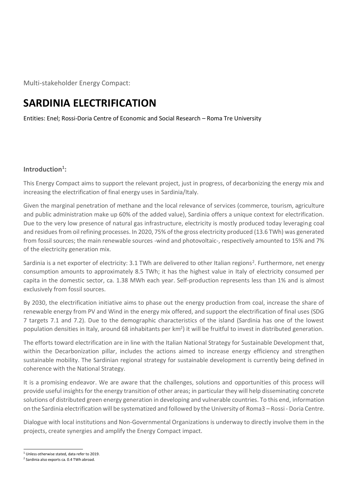Multi-stakeholder Energy Compact:

# **SARDINIA ELECTRIFICATION**

Entities: Enel; Rossi-Doria Centre of Economic and Social Research – Roma Tre University

# **Introduction<sup>1</sup> :**

This Energy Compact aims to support the relevant project, just in progress, of decarbonizing the energy mix and increasing the electrification of final energy uses in Sardinia/Italy.

Given the marginal penetration of methane and the local relevance of services (commerce, tourism, agriculture and public administration make up 60% of the added value), Sardinia offers a unique context for electrification. Due to the very low presence of natural gas infrastructure, electricity is mostly produced today leveraging coal and residues from oil refining processes. In 2020, 75% of the gross electricity produced (13.6 TWh) was generated from fossil sources; the main renewable sources -wind and photovoltaic-, respectively amounted to 15% and 7% of the electricity generation mix.

Sardinia is a net exporter of electricity: 3.1 TWh are delivered to other Italian regions<sup>2</sup>. Furthermore, net energy consumption amounts to approximately 8.5 TWh; it has the highest value in Italy of electricity consumed per capita in the domestic sector, ca. 1.38 MWh each year. Self-production represents less than 1% and is almost exclusively from fossil sources.

By 2030, the electrification initiative aims to phase out the energy production from coal, increase the share of renewable energy from PV and Wind in the energy mix offered, and support the electrification of final uses (SDG 7 targets 7.1 and 7.2). Due to the demographic characteristics of the island (Sardinia has one of the lowest population densities in Italy, around 68 inhabitants per km<sup>2</sup>) it will be fruitful to invest in distributed generation.

The efforts toward electrification are in line with the Italian National Strategy for Sustainable Development that, within the Decarbonization pillar, includes the actions aimed to increase energy efficiency and strengthen sustainable mobility. The Sardinian regional strategy for sustainable development is currently being defined in coherence with the National Strategy.

It is a promising endeavor. We are aware that the challenges, solutions and opportunities of this process will provide useful insights for the energy transition of other areas; in particular they will help disseminating concrete solutions of distributed green energy generation in developing and vulnerable countries. To this end, information on the Sardinia electrification will be systematized and followed by the University of Roma3 – Rossi - Doria Centre.

Dialogue with local institutions and Non-Governmental Organizations is underway to directly involve them in the projects, create synergies and amplify the Energy Compact impact.

 $<sup>1</sup>$  Unless otherwise stated, data refer to 2019.</sup>

<sup>&</sup>lt;sup>2</sup> Sardinia also exports ca. 0.4 TWh abroad.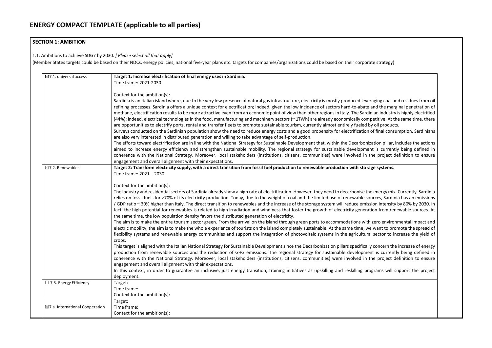## **SECTION 1: AMBITION**

1.1. Ambitions to achieve SDG7 by 2030. *[ Please select all that apply]*

(Member States targets could be based on their NDCs, energy policies, national five-year plans etc. targets for companies/organizations could be based on their corporate strategy)

| $\boxtimes$ 7.1. universal access          | Target 1: Increase electrification of final energy uses in Sardinia.<br>Time frame: 2021-2030                                                                                                                                                                                                                                                                                                                                                                                                                                                                                                                                                                                                                                                                                                                                                                                                                                                                                                                                                                                                                                                                                                                                                                                                                                                                                                                                                                                                                                                                                                                                                                                                                                                                                                                                                                                  |  |  |
|--------------------------------------------|--------------------------------------------------------------------------------------------------------------------------------------------------------------------------------------------------------------------------------------------------------------------------------------------------------------------------------------------------------------------------------------------------------------------------------------------------------------------------------------------------------------------------------------------------------------------------------------------------------------------------------------------------------------------------------------------------------------------------------------------------------------------------------------------------------------------------------------------------------------------------------------------------------------------------------------------------------------------------------------------------------------------------------------------------------------------------------------------------------------------------------------------------------------------------------------------------------------------------------------------------------------------------------------------------------------------------------------------------------------------------------------------------------------------------------------------------------------------------------------------------------------------------------------------------------------------------------------------------------------------------------------------------------------------------------------------------------------------------------------------------------------------------------------------------------------------------------------------------------------------------------|--|--|
|                                            | Context for the ambition(s):<br>Sardinia is an Italian island where, due to the very low presence of natural gas infrastructure, electricity is mostly produced leveraging coal and<br>refining processes. Sardinia offers a unique context for electrification; indeed, given the low incidence of sectors hard-to-abate and the margir<br>methane, electrification results to be more attractive even from an economic point of view than other regions in Italy. The Sardinian industry is<br>(44%); indeed, electrical technologies in the food, manufacturing and machinery sectors (~1TWh) are already economically competitive. At the<br>are opportunities to electrify ports, rental and transfer fleets to promote sustainable tourism, currently almost entirely fueled by oil products.<br>Surveys conducted on the Sardinian population show the need to reduce energy costs and a good propensity for electrification of final consun<br>are also very interested in distributed generation and willing to take advantage of self-production.<br>The efforts toward electrification are in line with the National Strategy for Sustainable Development that, within the Decarbonization pillar, ind<br>aimed to increase energy efficiency and strengthen sustainable mobility. The regional strategy for sustainable development is currently<br>coherence with the National Strategy. Moreover, local stakeholders (institutions, citizens, communities) were involved in the project def<br>engagement and overall alignment with their expectations.                                                                                                                                                                                                                                                                                                         |  |  |
| $\boxtimes$ 7.2. Renewables                | Target 2: Transform electricity supply, with a direct transition from fossil fuel production to renewable production with storage systems.<br>Time frame: 2021 - 2030                                                                                                                                                                                                                                                                                                                                                                                                                                                                                                                                                                                                                                                                                                                                                                                                                                                                                                                                                                                                                                                                                                                                                                                                                                                                                                                                                                                                                                                                                                                                                                                                                                                                                                          |  |  |
|                                            | Context for the ambition(s):<br>The industry and residential sectors of Sardinia already show a high rate of electrification. However, they need to decarbonise the energy mix. C<br>relies on fossil fuels for >70% of its electricity production. Today, due to the weight of coal and the limited use of renewable sources, Sardinia<br>/ GDP ratio ~ 30% higher than Italy. The direct transition to renewables and the increase of the storage system will reduce emission intensity b<br>fact, the high potential for renewables is related to high irradiation and windiness that foster the growth of electricity generation from reney<br>the same time, the low population density favors the distributed generation of electricity.<br>The aim is to make the entire tourism sector green. From the arrival on the island through green ports to accommodations with zero environm<br>electric mobility, the aim is to make the whole experience of tourists on the island completely sustainable. At the same time, we want to prom<br>flexibility systems and renewable energy communities and support the integration of photovoltaic systems in the agricultural sector to increased the<br>crops.<br>This target is aligned with the Italian National Strategy for Sustainable Development since the Decarbonization pillars specifically concern the in<br>production from renewable sources and the reduction of GHG emissions. The regional strategy for sustainable development is currently<br>coherence with the National Strategy. Moreover, local stakeholders (institutions, citizens, communities) were involved in the project def<br>engagement and overall alignment with their expectations.<br>In this context, in order to guarantee an inclusive, just energy transition, training initiatives as upskilling and reskilling programs will sup |  |  |
| $\Box$ 7.3. Energy Efficiency              | deployment.<br>Target:<br>Time frame:<br>Context for the ambition(s):                                                                                                                                                                                                                                                                                                                                                                                                                                                                                                                                                                                                                                                                                                                                                                                                                                                                                                                                                                                                                                                                                                                                                                                                                                                                                                                                                                                                                                                                                                                                                                                                                                                                                                                                                                                                          |  |  |
| $\boxtimes$ 7.a. International Cooperation | Target:<br>Time frame:<br>Context for the ambition(s):                                                                                                                                                                                                                                                                                                                                                                                                                                                                                                                                                                                                                                                                                                                                                                                                                                                                                                                                                                                                                                                                                                                                                                                                                                                                                                                                                                                                                                                                                                                                                                                                                                                                                                                                                                                                                         |  |  |

aging coal and residues from oil and the marginal penetration of nian industry is highly electrified betitive. At the same time, there<br>y oil products.

of final consumption. Sardinians

ation pillar, includes the actions at is currently being defined in he project definition to ensure

energy mix. Currently, Sardinia arces, Sardinia has an emissions ion intensity by 80% by 2030. In ion from renewable sources. At

zero environmental impact and want to promote the spread of sector to increase the yield of

the increase of energy is concern the increase of energy nt is currently being defined in he project definition to ensure

grams will support the project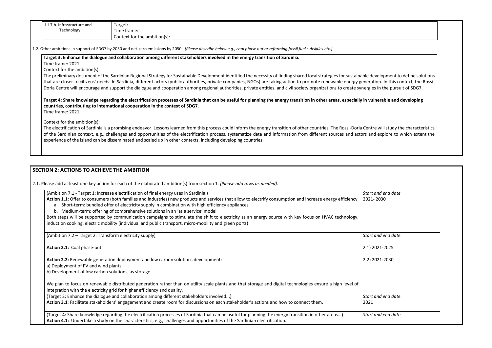| . Infrastructure and<br>۵.l | Target:                      |
|-----------------------------|------------------------------|
| Technology                  | --<br>Time frame:            |
|                             | Context for the ambition(s): |

1.2. Other ambitions in support of SDG7 by 2030 and net-zero emissions by 2050. *[Please describe below e.g., coal phase out or reforming fossil fuel subsidies etc.]*

**Target 3: Enhance the dialogue and collaboration among different stakeholders involved in the energy transition of Sardinia.**

Time frame: 2021

Context for the ambition(s):

The preliminary document of the Sardinian Regional Strategy for Sustainable Development identified the necessity of finding shared local strategies for sustainable d that are closer to citizens' needs. In Sardinia, different actors (public authorities, private companies, NGOs) are taking action to promote renewable energy genera Doria Centre will encourage and support the dialogue and cooperation among regional authorities, private entities, and civil society organizations to create synergie

Target 4: Share knowledge regarding the electrification processes of Sardinia that can be useful for planning the energy transition in other areas, especially in vulnerable and developing and developing and developing and **countries, contributing to international cooperation in the context of SDG7.**  Time frame: 2021

The electrification of Sardinia is a promising endeavor. Lessons learned from this process could inform the energy transition of other countries. The Rossi-Doria Cent of the Sardinian context, e.g., challenges and opportunities of the electrification process, systematize data and information from different sources and actors ar experience of the island can be disseminated and scaled up in other contexts, including developing countries.

Context for the ambition(s):

### **SECTION 2: ACTIONS TO ACHIEVE THE AMBITION**

2.1. Please add at least one key action for each of the elaborated ambition(s) from section 1. *[Please add rows as needed].*

| (Ambition 7.1 - Target 1: Increase electrification of final energy uses in Sardinia.)                                                                                                                                                                                                                                                             | <b>Start</b> |
|---------------------------------------------------------------------------------------------------------------------------------------------------------------------------------------------------------------------------------------------------------------------------------------------------------------------------------------------------|--------------|
| Action 1.1: Offer to consumers (both families and industries) new products and services that allow to electrify consumption and increase energy efficiency<br>a. Short-term: bundled offer of electricity supply in combination with high efficiency appliances<br>b. Medium-term: offering of comprehensive solutions in an 'as a service' model | 2021         |
| Both steps will be supported by communication campaigns to stimulate the shift to electricity as an energy source with key focus on HVAC technology,                                                                                                                                                                                              |              |
| induction cooking, electric mobility (individual and public transport, micro-mobility and green ports)                                                                                                                                                                                                                                            |              |
| (Ambition 7.2 – Target 2: Transform electricity supply)                                                                                                                                                                                                                                                                                           | <b>Start</b> |
| Action 2.1: Coal phase-out                                                                                                                                                                                                                                                                                                                        | 2.1          |
| Action 2.2: Renewable generation deployment and low carbon solutions development:                                                                                                                                                                                                                                                                 | $2.2$ )      |
| a) Deployment of PV and wind plants                                                                                                                                                                                                                                                                                                               |              |
| b) Development of low carbon solutions, as storage                                                                                                                                                                                                                                                                                                |              |
| We plan to focus on renewable distributed generation rather than on utility scale plants and that storage and digital technologies ensure a high level of<br>integration with the electricity grid for higher efficiency and quality.                                                                                                             |              |
| (Target 3: Enhance the dialogue and collaboration among different stakeholders involved)                                                                                                                                                                                                                                                          | <b>Start</b> |
| Action 3.1: Facilitate stakeholders' engagement and create room for discussions on each stakeholder's actions and how to connect them.                                                                                                                                                                                                            | 2021         |
| (Target 4: Share knowledge regarding the electrification processes of Sardinia that can be useful for planning the energy transition in other areas)<br>Action 4.1: Undertake a study on the characteristics, e.g., challenges and opportunities of the Sardinian electrification.                                                                | <b>Start</b> |

| evelopment to define solutions<br>ation. In this context, the Rossi-<br>es in the pursuit of SDG7. |  |
|----------------------------------------------------------------------------------------------------|--|
| <b>ulnerable and developing</b>                                                                    |  |
| tre will study the characteristics<br>nd explore to which extent the                               |  |

| Start and end date<br>2021-2030 |  |
|---------------------------------|--|
| Start and end date              |  |
| 2.1) 2021-2025                  |  |
| 2.2) 2021-2030                  |  |
|                                 |  |
| Start and end date<br>2021      |  |
| Start and end date              |  |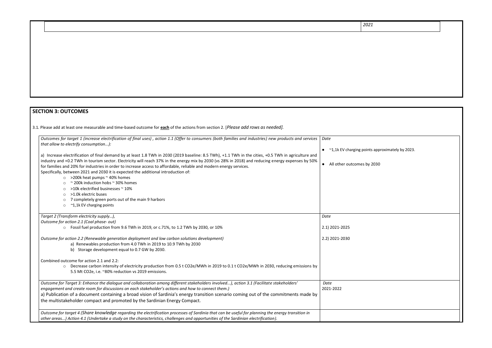# **SECTION 3: OUTCOMES**

3.1*.* Please add at least one measurable and time-based outcome for **each** of the actions from section 2. [*Please add rows as needed].*

| Outcomes for target 1 (increase electrification of final uses), action 1.1 (Offer to consumers (both families and industries) new products and services<br>that allow to electrify consumption):                                                                                                                                                                                                                                                                                                                         | Date                               |
|--------------------------------------------------------------------------------------------------------------------------------------------------------------------------------------------------------------------------------------------------------------------------------------------------------------------------------------------------------------------------------------------------------------------------------------------------------------------------------------------------------------------------|------------------------------------|
|                                                                                                                                                                                                                                                                                                                                                                                                                                                                                                                          | $\sim$ 1,1k EV charging point      |
| a) Increase electrification of final demand by at least 1.8 TWh in 2030 (2019 baseline: 8.5 TWh), +1.1 TWh in the cities, +0.5 TWh in agriculture and<br>industry and +0.2 TWh in tourism sector. Electricity will reach 37% in the energy mix by 2030 (vs 28% in 2018) and reducing energy expenses by 50%<br>for families and 20% for industries in order to increase access to affordable, reliable and modern energy services.<br>Specifically, between 2021 and 2030 it is expected the additional introduction of: | All other outcomes by<br>$\bullet$ |
| $\circ$ >200k heat pumps $\sim$ 40% homes                                                                                                                                                                                                                                                                                                                                                                                                                                                                                |                                    |
| $\approx$ 200k induction hobs $\approx$ 30% homes                                                                                                                                                                                                                                                                                                                                                                                                                                                                        |                                    |
| >10k electrified businesses ~ 10%                                                                                                                                                                                                                                                                                                                                                                                                                                                                                        |                                    |
| >1.0k electric buses<br>$\circ$<br>7 completely green ports out of the main 9 harbors                                                                                                                                                                                                                                                                                                                                                                                                                                    |                                    |
| $\circ$<br>~1,1k EV charging points<br>$\circ$                                                                                                                                                                                                                                                                                                                                                                                                                                                                           |                                    |
|                                                                                                                                                                                                                                                                                                                                                                                                                                                                                                                          |                                    |
| Target 2 (Transform electricity supply),                                                                                                                                                                                                                                                                                                                                                                                                                                                                                 | Date                               |
| Outcome for action 2.1 (Coal phase- out)                                                                                                                                                                                                                                                                                                                                                                                                                                                                                 |                                    |
| ○ Fossil fuel production from 9.6 TWh in 2019, or c.71%, to 1.2 TWh by 2030, or 10%                                                                                                                                                                                                                                                                                                                                                                                                                                      | 2.1) 2021-2025                     |
| Outcome for action 2.2 (Renewable generation deployment and low carbon solutions development)                                                                                                                                                                                                                                                                                                                                                                                                                            | 2.2) 2021-2030                     |
| a) Renewables production from 4.0 TWh in 2019 to 10.9 TWh by 2030                                                                                                                                                                                                                                                                                                                                                                                                                                                        |                                    |
| b) Storage development equal to 0.7 GW by 2030.                                                                                                                                                                                                                                                                                                                                                                                                                                                                          |                                    |
| Combined outcome for action 2.1 and 2.2:                                                                                                                                                                                                                                                                                                                                                                                                                                                                                 |                                    |
| Decrease carbon intensity of electricity production from 0.5 t CO2e/MWh in 2019 to 0.1 t CO2e/MWh in 2030, reducing emissions by<br>$\circ$                                                                                                                                                                                                                                                                                                                                                                              |                                    |
| 5.5 Mt CO2e, i.e. ~80% reduction vs 2019 emissions.                                                                                                                                                                                                                                                                                                                                                                                                                                                                      |                                    |
| Outcome for Target 3: Enhance the dialogue and collaboration among different stakeholders involved), action 3.1 (Facilitate stakeholders'                                                                                                                                                                                                                                                                                                                                                                                | Date                               |
| engagement and create room for discussions on each stakeholder's actions and how to connect them.)                                                                                                                                                                                                                                                                                                                                                                                                                       | 2021-2022                          |
| a) Publication of a document containing a broad vision of Sardinia's energy transition scenario coming out of the commitments made by                                                                                                                                                                                                                                                                                                                                                                                    |                                    |
| the multistakeholder compact and promoted by the Sardinian Energy Compact.                                                                                                                                                                                                                                                                                                                                                                                                                                               |                                    |
| Outcome for target 4 (Share knowledge regarding the electrification processes of Sardinia that can be useful for planning the energy transition in                                                                                                                                                                                                                                                                                                                                                                       |                                    |
| other areas) Action 4.1 (Undertake a study on the characteristics, challenges and opportunities of the Sardinian electrification).                                                                                                                                                                                                                                                                                                                                                                                       |                                    |

 $n$ ts approximately by 2023.

 $, 2030$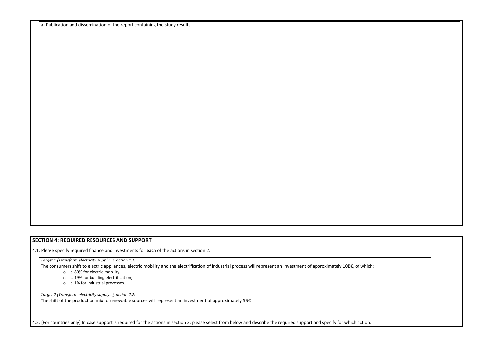a) Publication and dissemination of the report containing the study results.

### **SECTION 4: REQUIRED RESOURCES AND SUPPORT**

4.1. Please specify required finance and investments for **each** of the actions in section 2.

*Target 1 (Transform electricity supply…), action 1.1:*

The consumers shift to electric appliances, electric mobility and the electrification of industrial process will represent an investment of approximately 10B€, of which: o c. 80% for electric mobility;

o c. 19% for building electrification;

o c. 1% for industrial processes.

*Target 2 (Transform electricity supply…), action 2.2:*

The shift of the production mix to renewable sources will represent an investment of approximately 5B€

4.2. [For countries only] In case support is required for the actions in section 2, please select from below and describe the required support and specify for which action.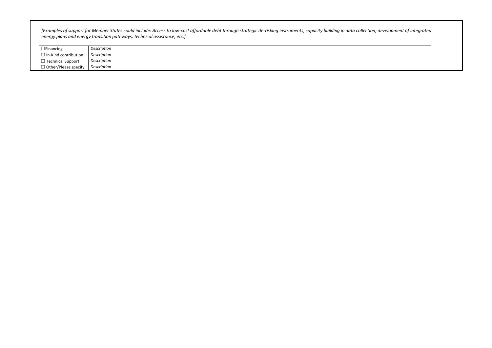*[Examples of support for Member States could include: Access to low-cost affordable debt through strategic de-risking instruments, capacity building in data collection; development of integrated energy plans and energy transition pathways; technical assistance, etc.]*

| <b>Financing</b>            | Description |
|-----------------------------|-------------|
| In-Kind contribution        | Description |
| Technical Support           | Description |
| $\Box$ Other/Please specify | Description |

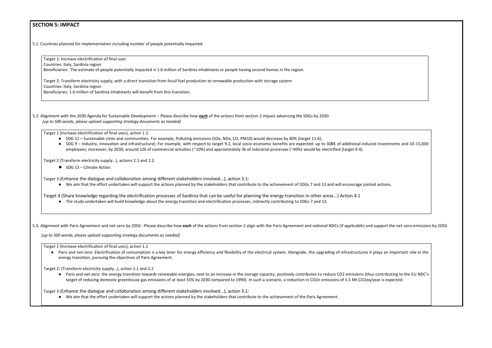#### **SECTION 5: IMPACT**

5.1. Countries planned for implementation including number of people potentially impacted.

Target 1: Increase electrification of final uses

Countries: Italy, Sardinia region

Beneficiaries: The estimate of people potentially impacted is 1.6 million of Sardinia inhabitants or people having second homes in the region.

Target 2: Transform electricity supply, with a direct transition from fossil fuel production to renewable production with storage system

- SDG 11 Sustainable cities and communities. For example, Polluting emissions (SOx, NOx, CO, PM10) would decrease by 40% (target 11.6);
- SDG 9 Industry, innovation and infrastructure). For example, with respect to target 9.2, local socio-economic benefits are expected: up to 30B€ of additional induced investments and 10-15,000 employees; moreover, by 2030, around 12k of commercial activities (~10%) and approximately 3k of industrial processes (~40%) would be electrified (target 9.4).

Countries: Italy, Sardinia region

Beneficiaries: 1.6 million of Sardinia inhabitants will benefit from this transition.

5.2. Alignment with the 2030 Agenda for Sustainable Development – Please describe how **each** of the actions from section 2 impact advancing the SDGs by 2030. *[up to 500 words, please upload supporting strategy documents as needed]* 

Target 1 (Increase electrification of final uses), action 1.1:

● Paris and net-zero: Electrification of consumption is a key lever for energy efficiency and flexibility of the electrical system. Alongside, the upgrading of infrastructures it plays an important role in the energy transition, pursuing the objectives of Paris Agreement.

Target 2 (Transform electricity supply…), actions 2.1 and 2.2:

● SDG 13 – Climate Action

Target 3 (Enhance the dialogue and collaboration among different stakeholders involved...), action 3.1:

● We aim that the effort undertaken will support the actions planned by the stakeholders that contribute to the achievement of SDGs 7 and 13 and will encourage jointed actions.

● Paris and net-zero: the energy transition towards renewable energies, next to an increase in the storage capacity, positively contributes to reduce CO2 emissions (thus contributing to the EU NDC's target of reducing domestic greenhouse gas emissions of at least 55% by 2030 compared to 1990). In such a scenario, a reduction in CO2e emissions of 5.5 Mt CO2eq/year is expected.

Target 4 (Share knowledge regarding the electrification processes of Sardinia that can be useful for planning the energy transition in other areas...) Action 4.1

● The study undertaken will build knowledge about the energy transition and electrification processes, indirectly contributing to SDGs 7 and 13.

5.3. Alignment with Paris Agreement and net-zero by 2050 - Please describe how each of the actions from section 2 align with the Paris Agreement and national NDCs (if applicable) and support the net-zero emissions by 2050.

*[up to 500 words, please upload supporting strategy documents as needed]* 

Target 1 (Increase electrification of final uses), action 1.1

Target 2: (Transform electricity supply…), action 2.1 and 2.2

Target 3 (Enhance the dialogue and collaboration among different stakeholders involved...), action 3.1:

● We aim that the effort undertaken will support the actions planned by the stakeholders that contribute to the achievement of the Paris Agreement.

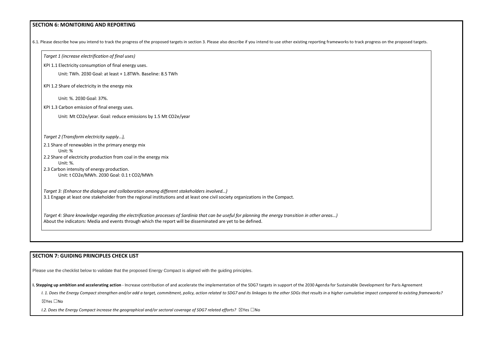#### **SECTION 6: MONITORING AND REPORTING**



| KPI 1.1 Electricity consumption of final energy uses.                                    |                                                                                                                                                                                                                                                                    |  |
|------------------------------------------------------------------------------------------|--------------------------------------------------------------------------------------------------------------------------------------------------------------------------------------------------------------------------------------------------------------------|--|
| Unit: TWh. 2030 Goal: at least + 1.8TWh. Baseline: 8.5 TWh                               |                                                                                                                                                                                                                                                                    |  |
| KPI 1.2 Share of electricity in the energy mix                                           |                                                                                                                                                                                                                                                                    |  |
| Unit: %. 2030 Goal: 37%.                                                                 |                                                                                                                                                                                                                                                                    |  |
| KPI 1.3 Carbon emission of final energy uses.                                            |                                                                                                                                                                                                                                                                    |  |
| Unit: Mt CO2e/year. Goal: reduce emissions by 1.5 Mt CO2e/year                           |                                                                                                                                                                                                                                                                    |  |
| Target 2 (Transform electricity supply),                                                 |                                                                                                                                                                                                                                                                    |  |
| 2.1 Share of renewables in the primary energy mix                                        |                                                                                                                                                                                                                                                                    |  |
| Unit: %<br>2.2 Share of electricity production from coal in the energy mix               |                                                                                                                                                                                                                                                                    |  |
| Unit: %.                                                                                 |                                                                                                                                                                                                                                                                    |  |
| 2.3 Carbon intensity of energy production.                                               |                                                                                                                                                                                                                                                                    |  |
|                                                                                          |                                                                                                                                                                                                                                                                    |  |
| Target 3: (Enhance the dialogue and collaboration among different stakeholders involved) |                                                                                                                                                                                                                                                                    |  |
|                                                                                          | 3.1 Engage at least one stakeholder from the regional institutions and at least one civil society organizations in the Compact.                                                                                                                                    |  |
| Unit: t CO2e/MWh. 2030 Goal: 0.1 t CO2/MWh                                               | Target 4: Share knowledge regarding the electrification processes of Sardinia that can be useful for planning the energy transition in other areas)<br>About the indicators: Media and events through which the report will be disseminated are yet to be defined. |  |

#### **SECTION 7: GUIDING PRINCIPLES CHECK LIST**

Please use the checklist below to validate that the proposed Energy Compact is aligned with the guiding principles.

**I. Stepping up ambition and accelerating action** - Increase contribution of and accelerate the implementation of the SDG7 targets in support of the 2030 Agenda for Sustainable Development for Paris Agreement

I. 1. Does the Energy Compact strengthen and/or add a target, commitment, policy, action related to SDG7 and its linkages to the other SDGs that results in a higher cumulative impact compared to existing frameworks?

☒Yes ☐No

*I.2. Does the Energy Compact increase the geographical and/or sectoral coverage of SDG7 related efforts?* ⊠Yes □No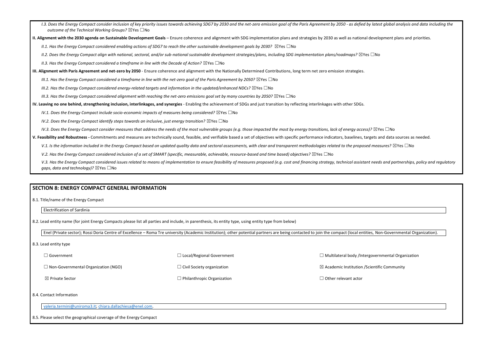- I.3. Does the Energy Compact consider inclusion of key priority issues towards achieving SDG7 by 2030 and the net-zero emission goal of the Paris Agreement by 2050 as defied by latest global analysis and data including t *outcome of the Technical Working Groups?* ☒Yes ☐No
- **II. Alignment with the 2030 agenda on Sustainable Development Goals** Ensure coherence and alignment with SDG implementation plans and strategies by 2030 as well as national development plans and priorities.

*II.1. Has the Energy Compact considered enabling actions of SDG7 to reach the other sustainable development goals by 2030?* ⊠Yes □No

*II.2. Does the Energy Compact align with national, sectoral, and/or sub-national sustainable development strategies/plans, including SDG implementation plans/roadmaps?* ☒Yes ☐No

*II.3. Has the Energy Compact considered a timeframe in line with the Decade of Action?* ⊠Yes □No

**III. Alignment with Paris Agreement and net-zero by 2050** - Ensure coherence and alignment with the Nationally Determined Contributions, long term net zero emission strategies.

*III.1. Has the Energy Compact considered a timeframe in line with the net-zero goal of the Paris Agreement by 2050?* ⊠Yes □No

*III.2. Has the Energy Compact considered energy-related targets and information in the updated/enhanced NDCs?* ⊠Yes □No

*III.3. Has the Energy Compact considered alignment with reaching the net-zero emissions goal set by many countries by 2050?* ⊠Yes □No

**IV. Leaving no one behind, strengthening inclusion, interlinkages, and synergies** - Enabling the achievement of SDGs and just transition by reflecting interlinkages with other SDGs.

*IV.1. Does the Energy Compact include socio-economic impacts of measures being considered?* ⊠Yes □No

*IV.2. Does the Energy Compact identify steps towards an inclusive, just energy transition?* ⊠Yes □No

*IV.3. Does the Energy Compact consider measures that address the needs of the most vulnerable groups (e.g. those impacted the most by energy transitions, lack of energy access)?* ⊠Yes □No

☐ Government ☐ Non-Governmental Organization (NGO) ☒ Private Sector ☐ Local/Regional Government ☐ Civil Society organization  $\Box$  Philanthropic Organization  $\Box$  Multilateral body /Intergovernmental Organization  $\boxtimes$  Academic Institution /Scientific Community □ Other relevant actor

**V. Feasibility and Robustness -** Commitments and measures are technically sound, feasible, and verifiable based a set of objectives with specific performance indicators, baselines, targets and data sources as needed.

V.1. Is the information included in the Energy Compact based on updated quality data and sectoral assessments, with clear and transparent methodologies related to the proposed measures? ⊠Yes □No

*V.2. Has the Energy Compact considered inclusion of a set of SMART (specific, measurable, achievable, resource-based and time based) objectives?* ⊠Yes □No

V.3. Has the Energy Compact considered issues related to means of implementation to ensure feasibility of measures proposed (e.g. cost and financing strategy, technical assistant needs and partnerships, policy and regulato *gaps, data and technology*)? ⊠Yes □No

#### **SECTION 8: ENERGY COMPACT GENERAL INFORMATION**

8.1. Title/name of the Energy Compact

Electrification of Sardinia

8.2. Lead entity name (for joint Energy Compacts please list all parties and include, in parenthesis, its entity type, using entity type from below)

Enel (Private sector); Rossi Doria Centre of Excellence – Roma Tre university (Academic Institution); other potential partners are being contacted to join the compact (local entities, Non-Governmental Organization).

#### 8.3. Lead entity type

#### 8.4. Contact Information

[valeria.termini@uniroma3.it;](mailto:valeria.termini@uniroma3.it) [chiara.dallachiesa@enel.com.](mailto:chiara.dallachiesa@enel.com)

8.5. Please select the geographical coverage of the Energy Compact